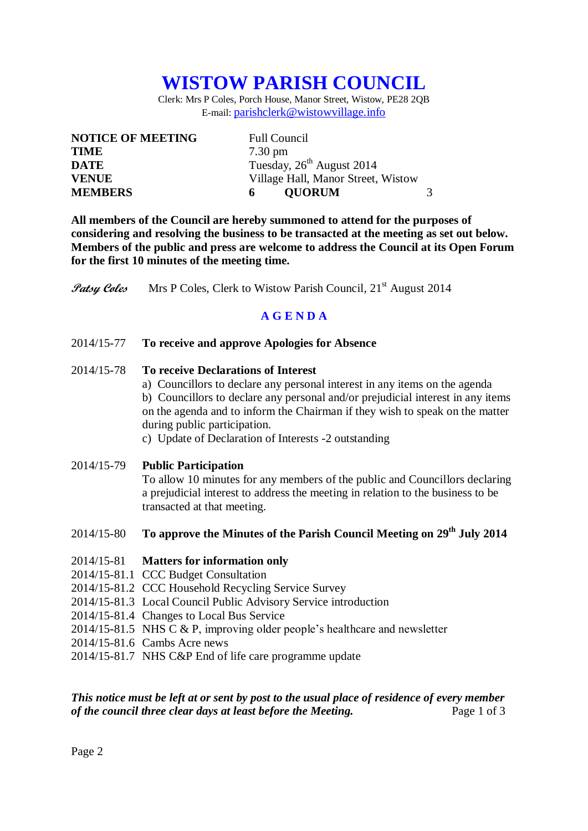# **WISTOW PARISH COUNCIL**

Clerk: Mrs P Coles, Porch House, Manor Street, Wistow, PE28 2QB E-mail: [parishclerk@wistowvillage.info](mailto:parishclerk@wistowvillage.info)

| <b>NOTICE OF MEETING</b> | <b>Full Council</b>                   |  |
|--------------------------|---------------------------------------|--|
| <b>TIME</b>              | $7.30 \text{ pm}$                     |  |
| <b>DATE</b>              | Tuesday, 26 <sup>th</sup> August 2014 |  |
| <b>VENUE</b>             | Village Hall, Manor Street, Wistow    |  |
| <b>MEMBERS</b>           | <b>OUORUM</b>                         |  |

**All members of the Council are hereby summoned to attend for the purposes of considering and resolving the business to be transacted at the meeting as set out below. Members of the public and press are welcome to address the Council at its Open Forum for the first 10 minutes of the meeting time.**

**Patsy Coles** Mrs P Coles, Clerk to Wistow Parish Council, 21<sup>st</sup> August 2014

# **A G E N D A**

2014/15-77 **To receive and approve Apologies for Absence**

#### 2014/15-78 **To receive Declarations of Interest**

- a) Councillors to declare any personal interest in any items on the agenda b) Councillors to declare any personal and/or prejudicial interest in any items on the agenda and to inform the Chairman if they wish to speak on the matter during public participation.
- c) Update of Declaration of Interests -2 outstanding

#### 2014/15-79 **Public Participation**

To allow 10 minutes for any members of the public and Councillors declaring a prejudicial interest to address the meeting in relation to the business to be transacted at that meeting.

2014/15-80 **To approve the Minutes of the Parish Council Meeting on 29th July 2014**

#### 2014/15-81 **Matters for information only**

- 2014/15-81.1 CCC Budget Consultation
- 2014/15-81.2 CCC Household Recycling Service Survey
- 2014/15-81.3 Local Council Public Advisory Service introduction
- 2014/15-81.4 Changes to Local Bus Service
- 2014/15-81.5 NHS C & P, improving older people's healthcare and newsletter
- 2014/15-81.6 Cambs Acre news
- 2014/15-81.7 NHS C&P End of life care programme update

# *This notice must be left at or sent by post to the usual place of residence of every member of the council three clear days at least before the Meeting.* Page 1 of 3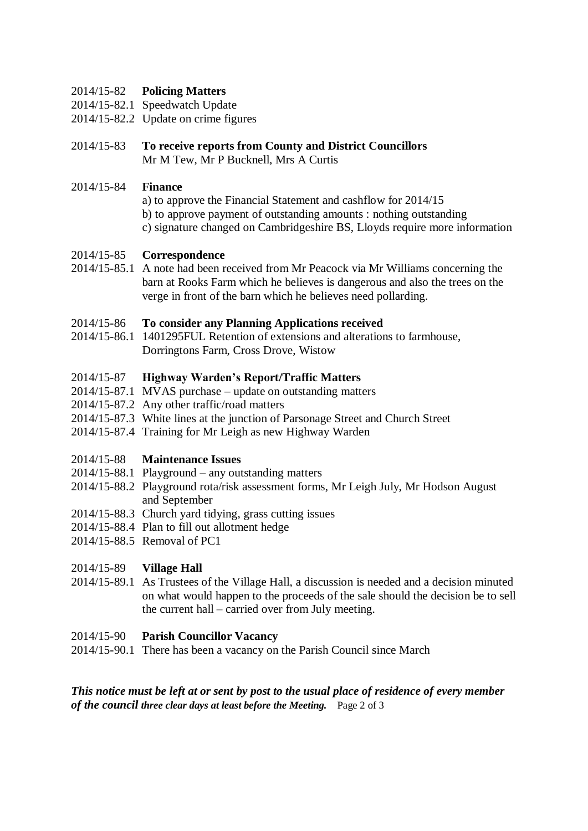#### 2014/15-82 **Policing Matters**

- 2014/15-82.1 Speedwatch Update
- 2014/15-82.2 Update on crime figures
- 2014/15-83 **To receive reports from County and District Councillors** Mr M Tew, Mr P Bucknell, Mrs A Curtis
- 2014/15-84 **Finance**
	- a) to approve the Financial Statement and cashflow for 2014/15
	- b) to approve payment of outstanding amounts : nothing outstanding
	- c) signature changed on Cambridgeshire BS, Lloyds require more information

### 2014/15-85 **Correspondence**

2014/15-85.1 A note had been received from Mr Peacock via Mr Williams concerning the barn at Rooks Farm which he believes is dangerous and also the trees on the verge in front of the barn which he believes need pollarding.

#### 2014/15-86 **To consider any Planning Applications received**

2014/15-86.1 1401295FUL Retention of extensions and alterations to farmhouse, Dorringtons Farm, Cross Drove, Wistow

### 2014/15-87 **Highway Warden's Report/Traffic Matters**

- 2014/15-87.1 MVAS purchase update on outstanding matters
- 2014/15-87.2 Any other traffic/road matters
- 2014/15-87.3 White lines at the junction of Parsonage Street and Church Street
- 2014/15-87.4 Training for Mr Leigh as new Highway Warden

#### 2014/15-88 **Maintenance Issues**

- 2014/15-88.1 Playground any outstanding matters
- 2014/15-88.2 Playground rota/risk assessment forms, Mr Leigh July, Mr Hodson August and September
- 2014/15-88.3 Church yard tidying, grass cutting issues
- 2014/15-88.4 Plan to fill out allotment hedge
- 2014/15-88.5 Removal of PC1

# 2014/15-89 **Village Hall**

2014/15-89.1 As Trustees of the Village Hall, a discussion is needed and a decision minuted on what would happen to the proceeds of the sale should the decision be to sell the current hall – carried over from July meeting.

# 2014/15-90 **Parish Councillor Vacancy**

2014/15-90.1 There has been a vacancy on the Parish Council since March

### *This notice must be left at or sent by post to the usual place of residence of every member of the council three clear days at least before the Meeting.* Page 2 of 3